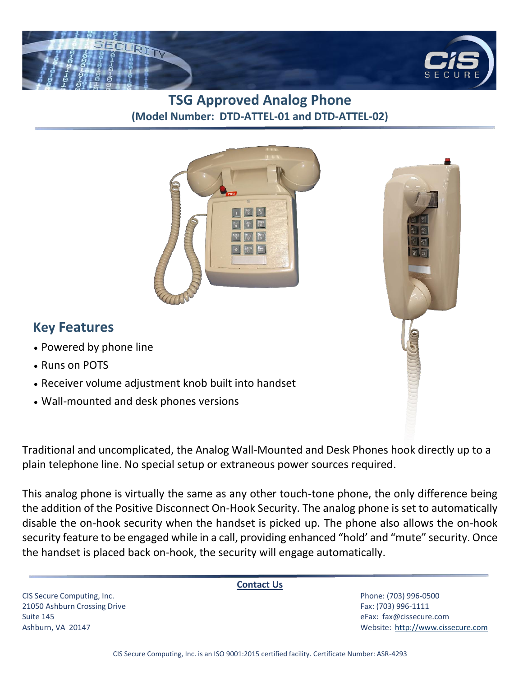

## **TSG Approved Analog Phone (Model Number: DTD-ATTEL-01 and DTD-ATTEL-02)**



## **Key Features**

- Powered by phone line
- Runs on POTS
- Receiver volume adjustment knob built into handset
- Wall-mounted and desk phones versions

Traditional and uncomplicated, the Analog Wall-Mounted and Desk Phones hook directly up to a plain telephone line. No special setup or extraneous power sources required.

This analog phone is virtually the same as any other touch-tone phone, the only difference being the addition of the Positive Disconnect On-Hook Security. The analog phone is set to automatically disable the on-hook security when the handset is picked up. The phone also allows the on-hook security feature to be engaged while in a call, providing enhanced "hold' and "mute" security. Once the handset is placed back on-hook, the security will engage automatically.

CIS Secure Computing, Inc. Phone: (703) 996-0500 21050 Ashburn Crossing Drive Fax: (703) 996-1111 Suite 145 eFax: [fax@cissecure.com](mailto:fax@cissecure.com)

**Contact Us**

Ashburn, VA 20147 Website: [http://www.cissecure.com](http://www.cissecure.com/)